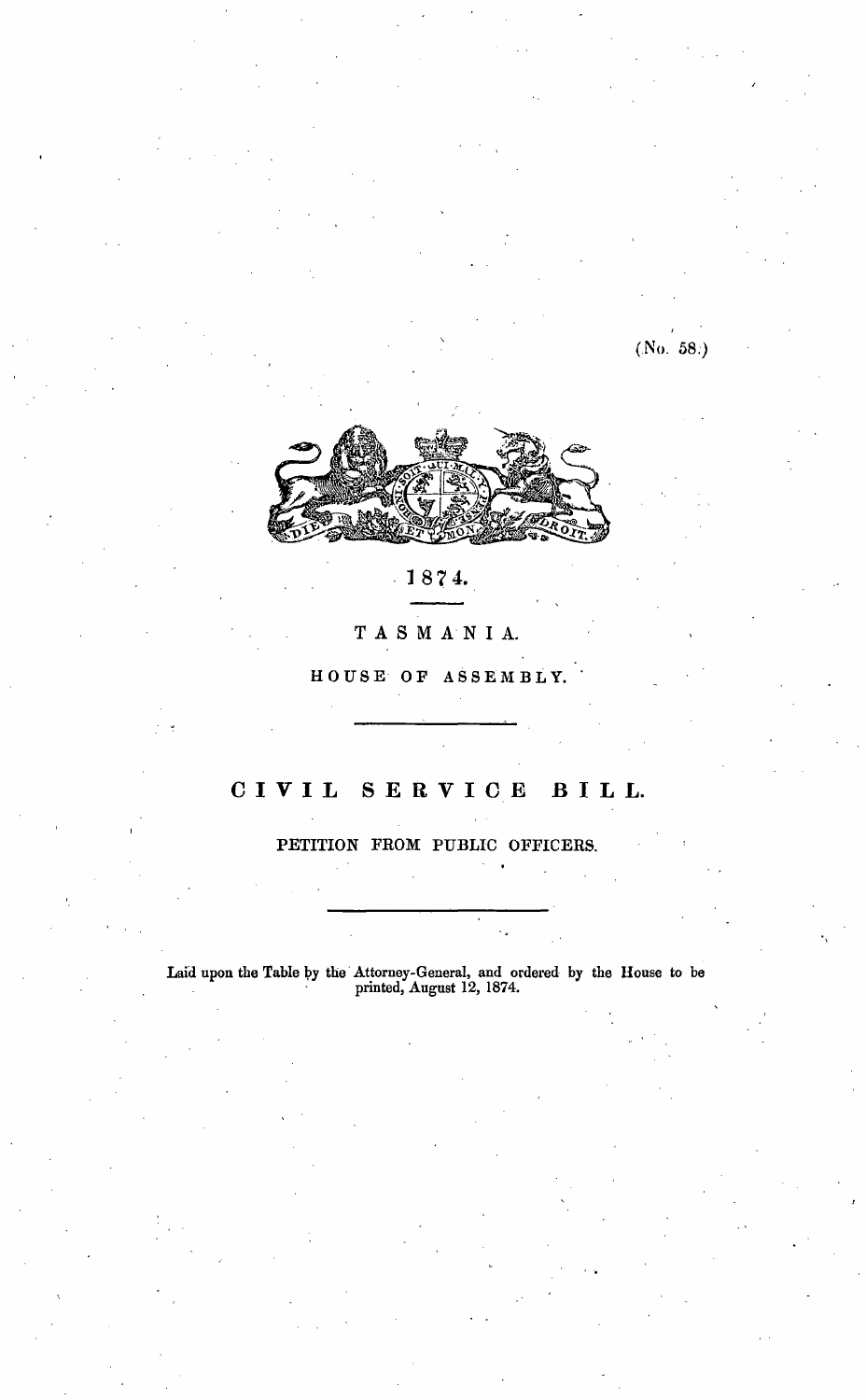(No. 58.)



# 187 4.

### TASMA· NI A.

H O US E O F A S S E M B L Y.

## C I V I L S E R V I C E B I L L.

PETITION FROM PUBLIC OFFICERS.

Laid upon the Table by the Attorney-General, and ordered by the House to be  $\frac{1}{2}$  printed, August 12, 1874.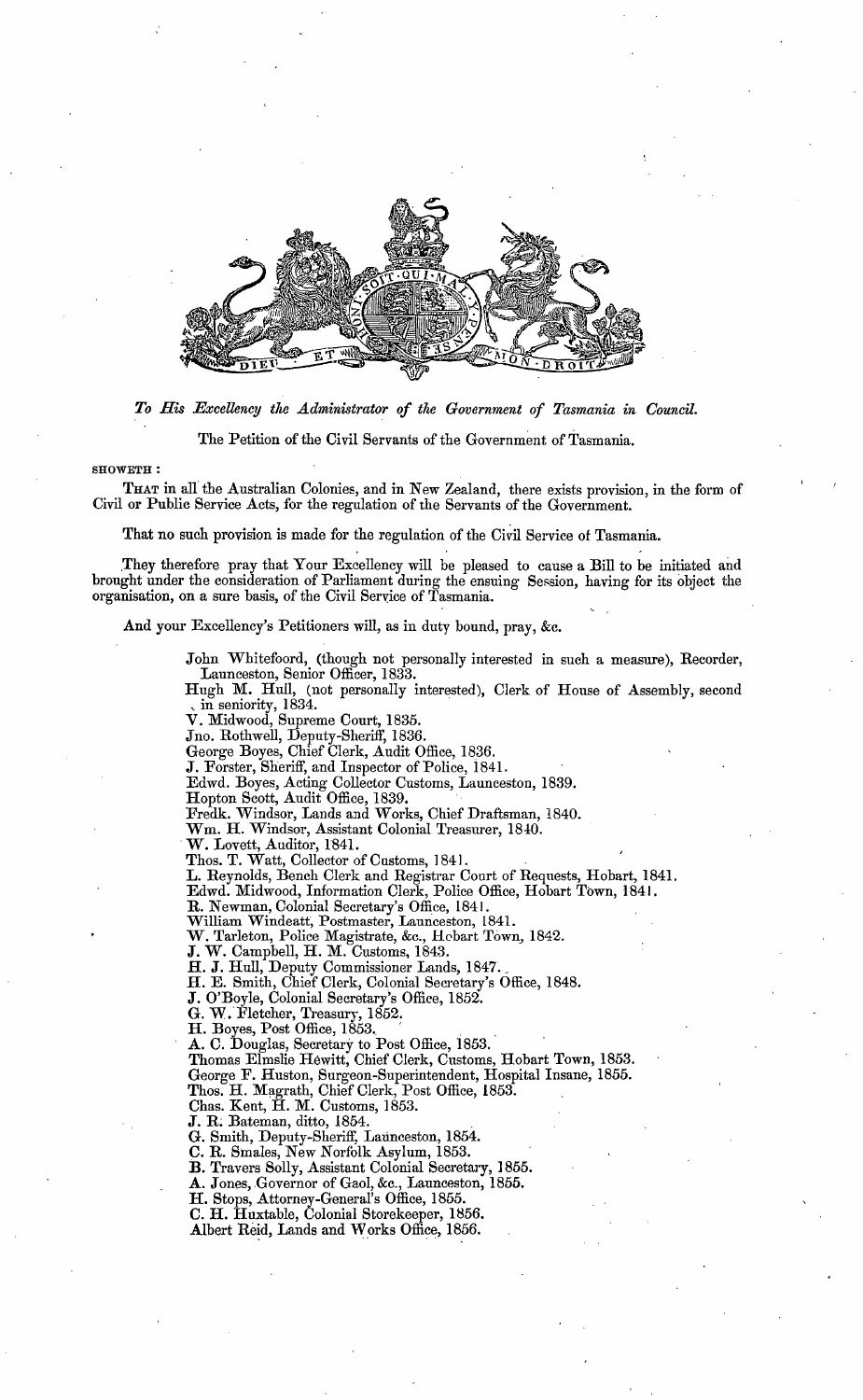

*To His Excellency the .Administrator of the Government of Tasmania in Council.* 

The Petition of the Civil Servants of the Government of Tasmania.

#### SH0WETH:

THAT in all the Australian Colonies, and in New Zealand, there exists provision, in the form of Civil or Public Service Acts, for the regulation of the Servants of the Government.

That no such provision is made for the regulation of the Civil Service of Tasmania.

. They therefore pray that Your Excellency will be pleased to cause a Bill to be initiated and brought under the consideration of Parliament during the ensuing Session, having for its object the organisation, on a sure basis, of the Civil Service of Tasmania.

**And your** Excellency's Petitioners **will,** as in duty bound, pray, &c.

John Whitefoord, (though not personally interested in such a measure), Recorder, Launceston, Senior Officer, 1833.

Hugh M. Hull, (not personally interested), Clerk of House of Assembly, second , in seniority, 1834.

**V.** Midwood, Supreme Court, 1835.

Jno. Rothwell, Deputy-Sheriff, 1836.

George Boyes, Chief Clerk, Audit Office, 1836.

**J.** Forster, Sheriff, and Inspector of Police, 1841.

Edwd. Boyes, Acting Collector Customs, Launceston, 1839.

Hopton Scott, Audit Office, 1839.

Fredk. Windsor, Lands and Works, Chief Draftsman, 1840.

Wm. H. Windsor, Assistant Colonial Treasurer, 1840.<br>W. Lovett, Auditor, 1841.

Thos. **T.** Watt, Collector of Customs, ] 841.

**L.** Reynolds, Bench Clerk and Registrar Court of Requests, Hobart, 1841.

Edwd. Midwood, Information Clerk, Police Office, Hobart Town, 1841.

**R.** Newman, Colonial Secretary's Office, 1841 . **William** Windeatt, Postmaster, Launceston, 1841.

**W.** Tarleton, Police Magistrate, &c., Hobart Town, 1842.

**J. W.** Campbell, H. M. Customs, 1843.

H. J. Hull, Deputy Commissioner Lands, 1847.

H. E. Smith, Chief Clerk, Colonial Secretary's Office, 1848.

**J.** O'Boyle, Colonial Secretary's Office, 1852.

**G. W.** Fletcher, Treasury, 1852.

**H.** Boyes, Post Office, 1853. **1989** 

A. C. Douglas, Secretary to Post Office, 1853.

Thomas Elmslie Hewitt, Chief Clerk, Customs, Hobart Town, 1853. George F. Huston, Surgeon-Superintendent, Hospital Insane, 1855. Thos. H. Magrath, Chief Clerk, Post Office, 1853.

Chas. Kent, H. M. Customs, 1853.

J. R; Bateman, ditto, 1854.

G. Smith, Deputy-Sheriff, Launceston, 1854.

**C.R.** Smales, New Norfolk Asylum, 1853.

**B.** Travers Solly, Assistant Colonial Secretary, 1855.

A. Jones, Governor of Gaol, &c., Launceston, 1855.

H. Stops, Attorney-General's Office, 1855.

C. **H.** Huxtable, Colonial Storekeeper, 1856.

Albert Reid, Lands and Works Office, 1856.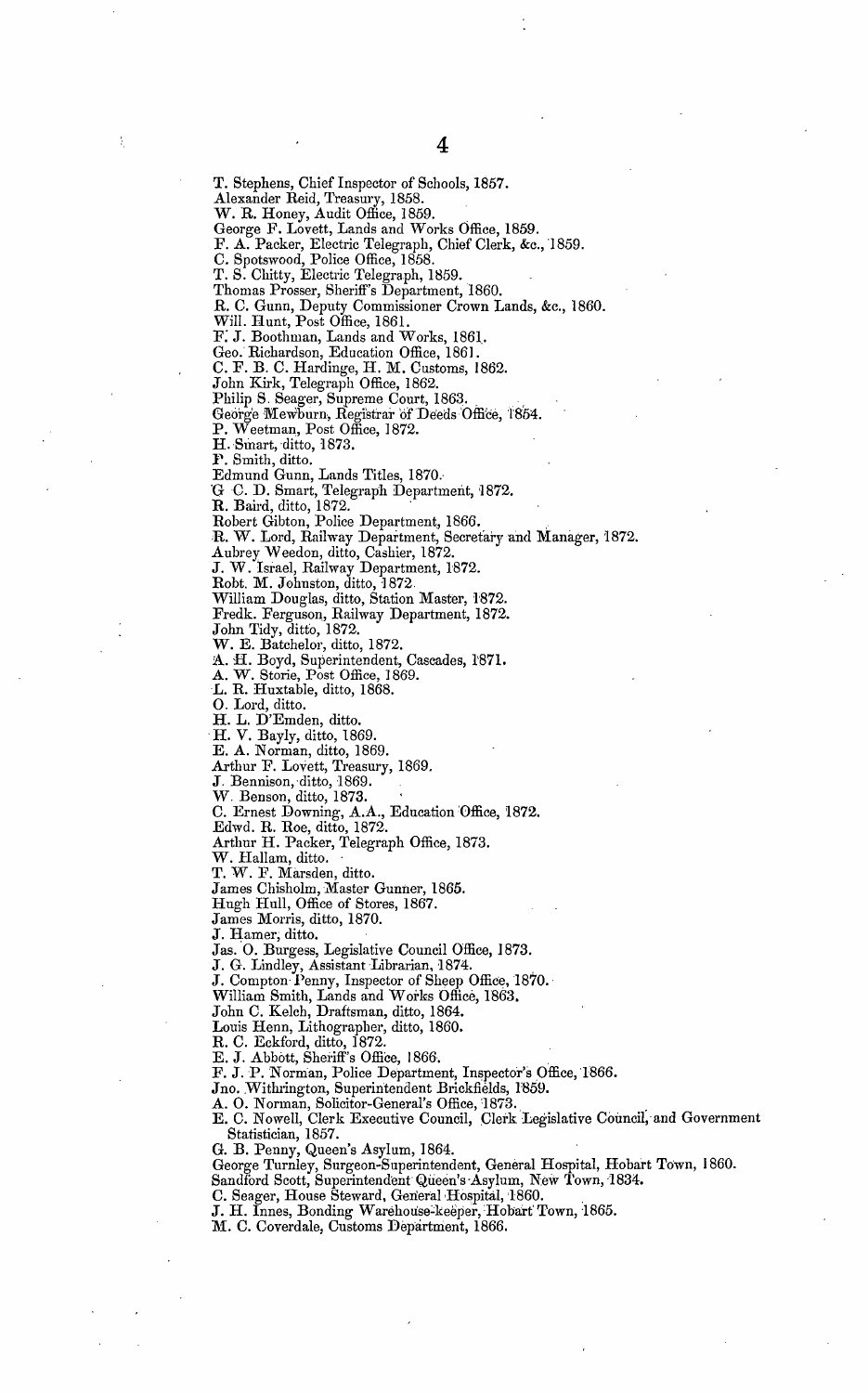T. Stephens, Chief Inspector of Schools, 1857. Alexander Reid, Treasury, 1858.<br>W. R. Honey, Audit Office, 1859. George F. Lovett, Lands and Works Office, 1859. F. A. Packer, Electric Telegraph, Chief Clerk, &c., 1859. C. Spotswood, Police Office, 1858. T. S. Chitty, Electric Telegraph, 1859. Thomas Prosser, Sheriff's Department, 1860. R. C. Gunn, Deputy Commissioner Crown Lands, &c., 1860. Will. Hunt, Post Office, 1861. F: J. Boothman, Lands and Works, 1861.. Geo. Richardson, Education Office, 1861. C. F. B. C. Hardinge, H. M. Customs, 1862. John Kirk, Telegraph Office, 1862. Philip S. Seager, Supreme Court, 1863. George Mewburn, Registrar of Deeds Office, 1854. P. Weetman, Post Office, 1872. **H.** Smart, ditto, 1873. **1~.** Smith, ditto. Edmund Gunn, Lands Titles, 1870.· G C. D. Smart, Telegraph Department, 1872. **R. Baird, ditto, 1872. 1986** Robert Gibton, Police Department, 1866. , **:R. W.** Lord, Railway Department, Secretary ·and Manager, '1872. Aubrey Weedon, ditto, Cashier, 1872. **J. W.** Israel, Railway Department, 1872. Robt. M. Johnston, ditto, 1872. William Douglas, ditto, Station Master, 1'872. Fredk. Ferguson, Railway Department, 1872. John Tidy, ditfo, 1872. W. E. Batchelor, ditto, 1872. A. H. Boyd, Superintendent, Cascades, 1871. **A. W.** Storie, Post Office, ] 869. *L.* R. Huxtable, ditto, 1868. **0.** Lord, ditto. **H. L.** D'Emden, ditto. · **H. V.** Bayly, ditto, 1869. Arthur F. Lovett, Treasury, 1869. **J.** Bennison, ·ditto, 1869. **W.** Benson, ditto, 1873. C. Ernest Downing, A.A., Education Office, 1872. Edwd. R. Roe, ditto, 1872. Arthur H. Packer, Telegraph Office, 1873. **W.** Hallam, ditto. T. W. F. Marsden, ditto. James Chisholm, Master Gunner, 1865. Hugh Hull, Office of Stores, 1867. James Morris, ditto, 1870. **J.** Hamer; ditto. **J** as. **0.** Burgess, Legislative Council Office, **J** 873. **J.** G. Lindley, Assistant Librarian, 1874. , **J.** Compton Penny, Inspector of Sheep Office, 1870. · William Smith, Lands and Works Office, 1863. John C. Kelch, Draftsman, ditto, 1864. Louis Henn, Lithographer, ditto, 1860. R. C. Eckford, ditto, 1872.  $E. J.$  Abbott, Sheriff's Office, 1866. F. J. P. Norman, Police Department, Inspector's Office, 1866. Jno. Withrington, Superintendent Brickfields, 1859. A. O. Norman, Solicitor-General's Office, 1873. Statistician, 1857. G. B. Penny, Queen's Asylum, 1864.<br>George Turnley, Surgeon-Superintendent, General Hospital, Hobart Town, 1860.

Sandford Scott, Superintendent Queen's Asylum, New Town, 1834.

**E. A.** Norman, ditto, 1869.

E. C. Nowell, Clerk Executive Council, Clerk Legislative Council, and Government

C. Seager, House Steward, General Hospital, 1860.

J. H. Innes, Bonding Warehouse-keeper, Hobart Town, 1865.

M. C. Coverdale, Customs Department, 1866.